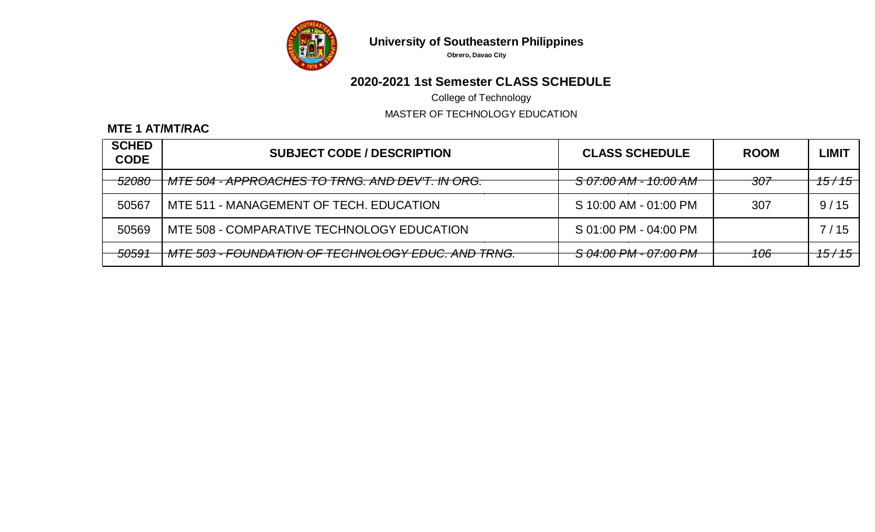

**Obrero, Davao City**

# **2020-2021 1st Semester CLASS SCHEDULE**

College of Technology

MASTER OF TECHNOLOGY EDUCATION

### **MTE 1 AT/MT/RAC**

| <b>SCHED</b><br><b>CODE</b> | <b>SUBJECT CODE / DESCRIPTION</b>                             | <b>CLASS SCHEDULE</b>            | <b>ROOM</b> | LIMIT                |
|-----------------------------|---------------------------------------------------------------|----------------------------------|-------------|----------------------|
| <del>52080</del>            | <del>  MTE 504 - APPROACHES TO TRNG. AND DEV'T. IN ORG.</del> | <del>S 07:00 AM - 10:00 AM</del> | 307         | <del>15 / 15  </del> |
| 50567                       | MTE 511 - MANAGEMENT OF TECH. EDUCATION                       | S 10:00 AM - 01:00 PM            | 307         | 9/15                 |
| 50569                       | MTE 508 - COMPARATIVE TECHNOLOGY EDUCATION                    | S 01:00 PM - 04:00 PM            |             | 7/15                 |
| 50591                       | - MTE 503 - FOUNDATION OF TECHNOLOGY EDUC. AND TRNG.          | S 04:00 PM - 07:00 PM            | 106         | <del>15 / 15  </del> |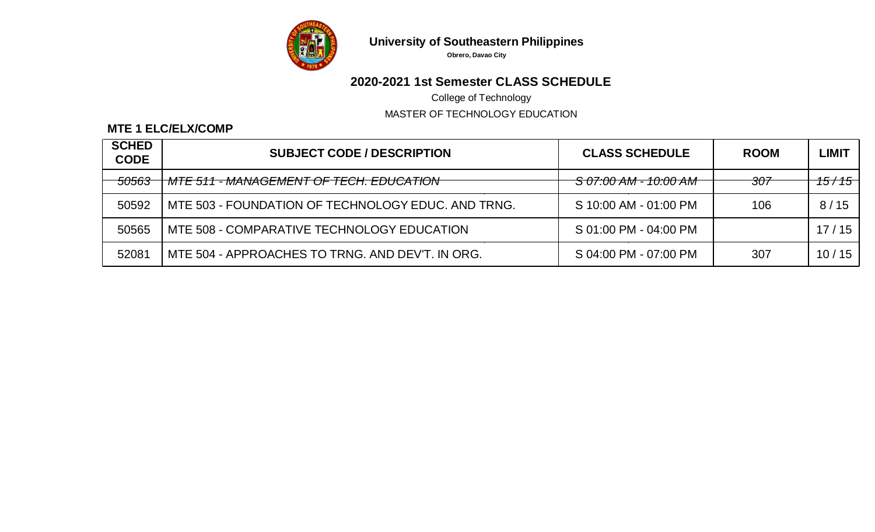

**Obrero, Davao City**

# **2020-2021 1st Semester CLASS SCHEDULE**

College of Technology

MASTER OF TECHNOLOGY EDUCATION

### **MTE 1 ELC/ELX/COMP**

| <b>SCHED</b><br><b>CODE</b> | <b>SUBJECT CODE / DESCRIPTION</b>                      | <b>CLASS SCHEDULE</b>            | <b>ROOM</b> | <b>LIMIT</b>         |
|-----------------------------|--------------------------------------------------------|----------------------------------|-------------|----------------------|
| <del>50563</del>            | <del>  MTE 511 - MANAGEMENT OF TECH. EDUCATION  </del> | <del>S 07:00 AM - 10:00 AM</del> | 307         | <del>15 / 15  </del> |
| 50592                       | MTE 503 - FOUNDATION OF TECHNOLOGY EDUC, AND TRNG.     | S 10:00 AM - 01:00 PM            | 106         | 8/15                 |
| 50565                       | MTE 508 - COMPARATIVE TECHNOLOGY EDUCATION             | S 01:00 PM - 04:00 PM            |             | 17/15                |
| 52081                       | MTE 504 - APPROACHES TO TRNG. AND DEV'T. IN ORG.       | S 04:00 PM - 07:00 PM            | 307         | 10/15                |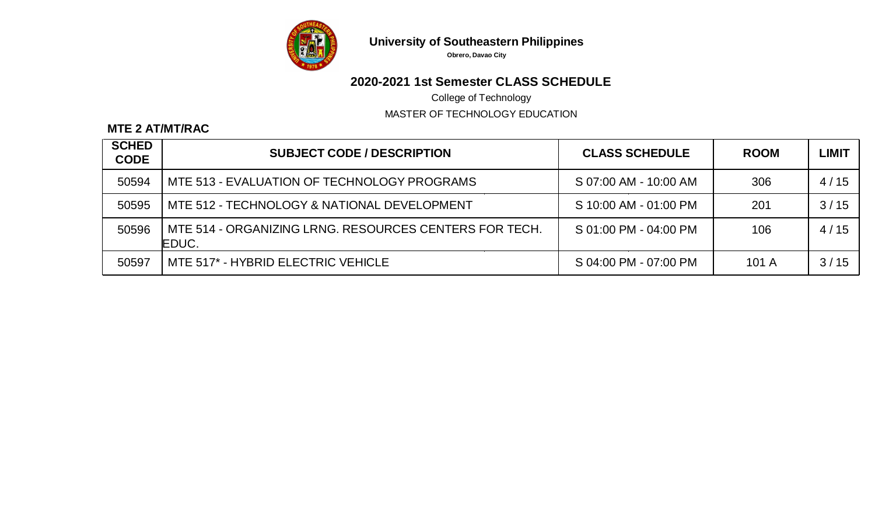

**Obrero, Davao City**

# **2020-2021 1st Semester CLASS SCHEDULE**

College of Technology

MASTER OF TECHNOLOGY EDUCATION

### **MTE 2 AT/MT/RAC**

| <b>SCHED</b><br><b>CODE</b> | <b>SUBJECT CODE / DESCRIPTION</b>                               | <b>CLASS SCHEDULE</b> | <b>ROOM</b> | <b>LIMIT</b> |
|-----------------------------|-----------------------------------------------------------------|-----------------------|-------------|--------------|
| 50594                       | MTE 513 - EVALUATION OF TECHNOLOGY PROGRAMS                     | S 07:00 AM - 10:00 AM | 306         | 4/15         |
| 50595                       | MTE 512 - TECHNOLOGY & NATIONAL DEVELOPMENT                     | S 10:00 AM - 01:00 PM | 201         | 3/15         |
| 50596                       | MTE 514 - ORGANIZING LRNG, RESOURCES CENTERS FOR TECH.<br>EDUC. | S 01:00 PM - 04:00 PM | 106         | 4/15         |
| 50597                       | MTE 517* - HYBRID ELECTRIC VEHICLE                              | S 04:00 PM - 07:00 PM | 101A        | 3/15         |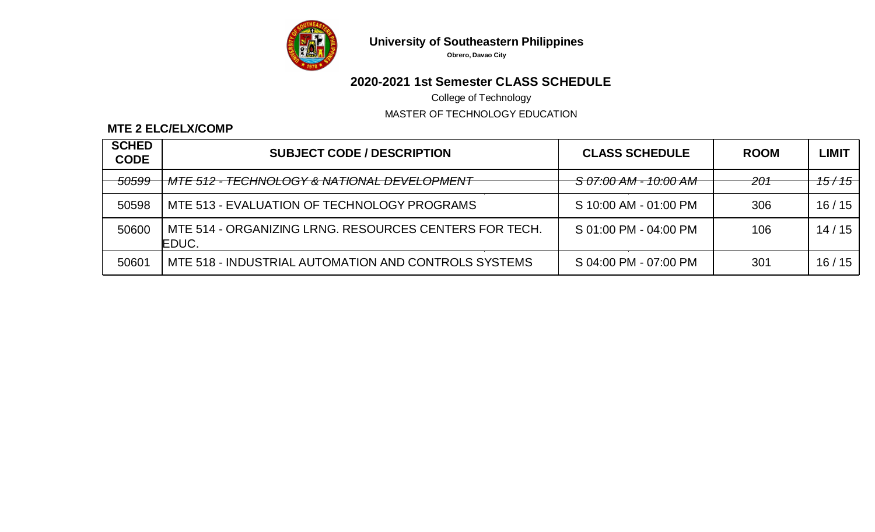

**Obrero, Davao City**

# **2020-2021 1st Semester CLASS SCHEDULE**

College of Technology

MASTER OF TECHNOLOGY EDUCATION

### **MTE 2 ELC/ELX/COMP**

| <b>SCHED</b><br><b>CODE</b> | <b>SUBJECT CODE / DESCRIPTION</b>                               | <b>CLASS SCHEDULE</b>            | <b>ROOM</b> | <b>LIMIT</b>         |
|-----------------------------|-----------------------------------------------------------------|----------------------------------|-------------|----------------------|
| <del>50599</del>            | -MTE 512 - TECHNOLOGY & NATIONAL DEVELOPMENT                    | <del>S 07:00 AM - 10:00 AM</del> | 201         | <del>15 / 15  </del> |
| 50598                       | MTE 513 - EVALUATION OF TECHNOLOGY PROGRAMS                     | S 10:00 AM - 01:00 PM            | 306         | 16/15                |
| 50600                       | MTE 514 - ORGANIZING LRNG, RESOURCES CENTERS FOR TECH.<br>EDUC. | S 01:00 PM - 04:00 PM            | 106         | 14/15                |
| 50601                       | MTE 518 - INDUSTRIAL AUTOMATION AND CONTROLS SYSTEMS            | S 04:00 PM - 07:00 PM            | 301         | 16/15                |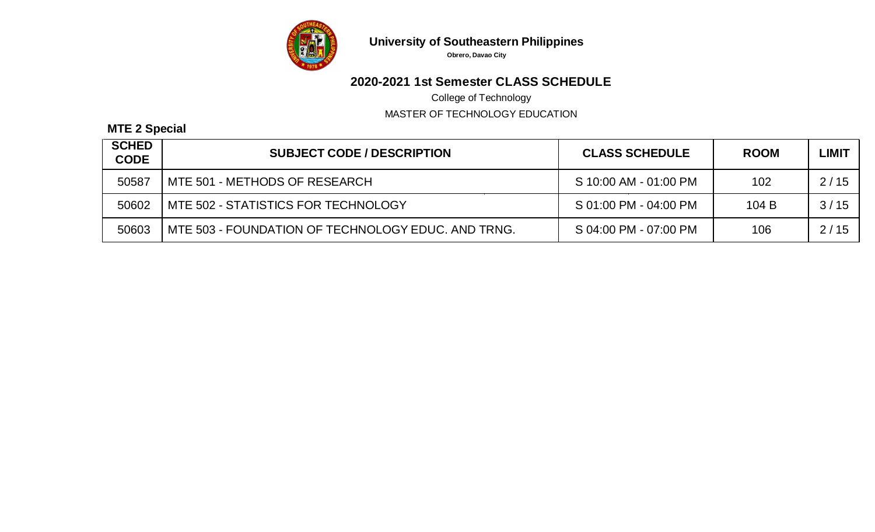

**Obrero, Davao City**

# **2020-2021 1st Semester CLASS SCHEDULE**

College of Technology

MASTER OF TECHNOLOGY EDUCATION

### **MTE 2 Special**

| <b>SCHED</b><br><b>CODE</b> | <b>SUBJECT CODE / DESCRIPTION</b>                  | <b>CLASS SCHEDULE</b> | <b>ROOM</b> | <b>LIMIT</b> |
|-----------------------------|----------------------------------------------------|-----------------------|-------------|--------------|
| 50587                       | MTE 501 - METHODS OF RESEARCH                      | S 10:00 AM - 01:00 PM | 102         | 2/15         |
| 50602                       | MTE 502 - STATISTICS FOR TECHNOLOGY                | S 01:00 PM - 04:00 PM | 104B        | 3/15         |
| 50603                       | MTE 503 - FOUNDATION OF TECHNOLOGY EDUC. AND TRNG. | S 04:00 PM - 07:00 PM | 106         | 2/15         |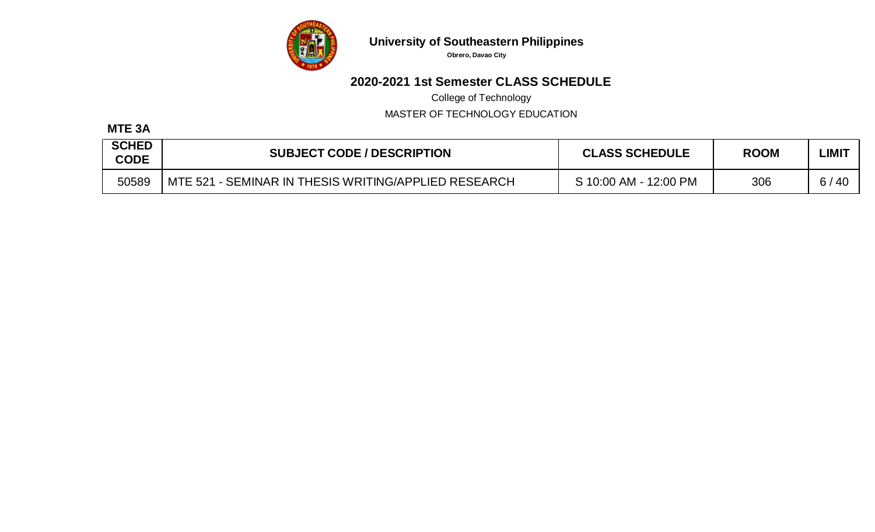

**Obrero, Davao City**

# **2020-2021 1st Semester CLASS SCHEDULE**

College of Technology

MASTER OF TECHNOLOGY EDUCATION

### **MTE 3A**

| <b>SCHED</b><br><b>CODE</b> | <b>SUBJECT CODE / DESCRIPTION</b>                    | <b>CLASS SCHEDULE</b> | <b>ROOM</b> | LIMIT     |
|-----------------------------|------------------------------------------------------|-----------------------|-------------|-----------|
| 50589                       | MTE 521 - SEMINAR IN THESIS WRITING/APPLIED RESEARCH | S 10:00 AM - 12:00 PM | 306         | 6/<br>-40 |